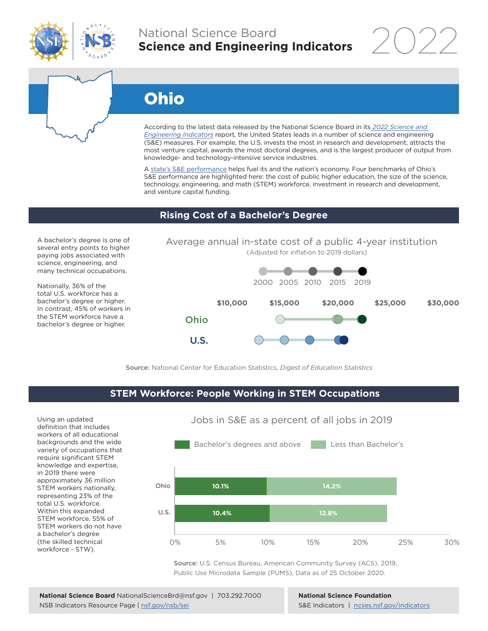

# National Science Board **Science and Engineering Indicators**

2022

# Ohio

According to the latest data released by the National Science Board in its *[2022 Science and](https://www.ncses.nsf.gov/indicators)  [Engineering Indicators](https://www.ncses.nsf.gov/indicators)* report, the United States leads in a number of science and engineering (S&E) measures. For example, the U.S. invests the most in research and development, attracts the most venture capital, awards the most doctoral degrees, and is the largest producer of output from knowledge- and technology-intensive service industries.

A state's S&E performance helps fuel its and the nation's economy. Four benchmarks of Ohio's S&E performance are highlighted here: the cost of public higher education, the size of the science, technology, engineering, and math (STEM) workforce, investment in research and development, and venture capital funding.

#### **Rising Cost of a Bachelor's Degree**

A bachelor's degree is one of several entry points to higher paying jobs associated with science, engineering, and many technical occupations.

Nationally, 36% of the total U.S. workforce has a bachelor's degree or higher. In contrast, 45% of workers in the STEM workforce have a bachelor's degree or higher.





Source: National Center for Education Statistics, *Digest of Education Statistics*

## **STEM Workforce: People Working in STEM Occupations**

Using an updated definition that includes workers of all educational backgrounds and the wide variety of occupations that require significant STEM knowledge and expertise, in 2019 there were approximately 36 million STEM workers nationally, representing 23% of the total U.S. workforce. Within this expanded STEM workforce, 55% of STEM workers do not have a bachelor's degree (the skilled technical workforce - STW).



Jobs in S&E as a percent of all jobs in 2019

Source: U.S. Census Bureau, American Community Survey (ACS), 2019, Public Use Microdata Sample (PUMS), Data as of 25 October 2020.

**National Science Foundation** S&E Indicators | [ncses.nsf.gov/indicators](https://www.ncses.nsf.gov/indicators)